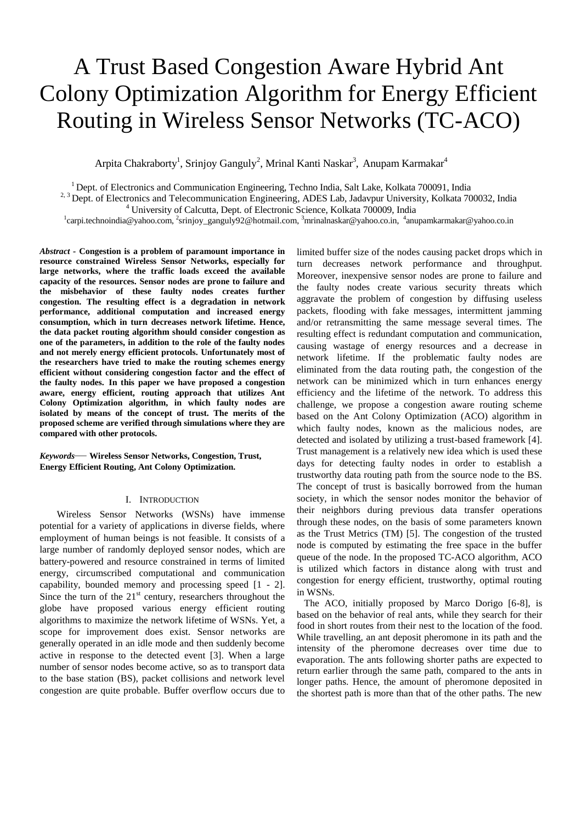# A Trust Based Congestion Aware Hybrid Ant Colony Optimization Algorithm for Energy Efficient Routing in Wireless Sensor Networks (TC-ACO)

Arpita Chakraborty<sup>1</sup>, Srinjoy Ganguly<sup>2</sup>, Mrinal Kanti Naskar<sup>3</sup>, Anupam Karmakar<sup>4</sup>

<sup>1</sup> Dept. of Electronics and Communication Engineering, Techno India, Salt Lake, Kolkata 700091, India

<sup>2, 3</sup> Dept. of Electronics and Telecommunication Engineering, ADES Lab, Jadavpur University, Kolkata 700032, India

<sup>4</sup> University of Calcutta, Dept. of Electronic Science, Kolkata 700009, India

<sup>1</sup>[carpi.technoindia@yahoo.com,](mailto:carpi.technoindia@yahoo.com) <sup>2</sup>[srinjoy\\_ganguly92@hotmail.com,](mailto:2srinjoy_ganguly92@hotmail.com) <sup>3</sup>[mrinalnaskar@yahoo.co.in,](mailto:mrinalnaskar@yahoo.co.in) 4[anupamkarmakar@yahoo.co.in](mailto:4anupamkarmakar@yahoo.co.in)

*Abstract -* **Congestion is a problem of paramount importance in resource constrained Wireless Sensor Networks, especially for large networks, where the traffic loads exceed the available capacity of the resources. Sensor nodes are prone to failure and the misbehavior of these faulty nodes creates further congestion. The resulting effect is a degradation in network performance, additional computation and increased energy consumption, which in turn decreases network lifetime. Hence, the data packet routing algorithm should consider congestion as one of the parameters, in addition to the role of the faulty nodes and not merely energy efficient protocols. Unfortunately most of the researchers have tried to make the routing schemes energy efficient without considering congestion factor and the effect of the faulty nodes. In this paper we have proposed a congestion aware, energy efficient, routing approach that utilizes Ant Colony Optimization algorithm, in which faulty nodes are isolated by means of the concept of trust. The merits of the proposed scheme are verified through simulations where they are compared with other protocols.**

*Keywords*— **Wireless Sensor Networks, Congestion, Trust, Energy Efficient Routing, Ant Colony Optimization.** 

# I. INTRODUCTION

 Wireless Sensor Networks (WSNs) have immense potential for a variety of applications in diverse fields, where employment of human beings is not feasible. It consists of a large number of randomly deployed sensor nodes, which are battery-powered and resource constrained in terms of limited energy, circumscribed computational and communication capability, bounded memory and processing speed [1 - 2]. Since the turn of the  $21<sup>st</sup>$  century, researchers throughout the globe have proposed various energy efficient routing algorithms to maximize the network lifetime of WSNs. Yet, a scope for improvement does exist. Sensor networks are generally operated in an idle mode and then suddenly become active in response to the detected event [3]. When a large number of sensor nodes become active, so as to transport data to the base station (BS), packet collisions and network level congestion are quite probable. Buffer overflow occurs due to limited buffer size of the nodes causing packet drops which in turn decreases network performance and throughput. Moreover, inexpensive sensor nodes are prone to failure and the faulty nodes create various security threats which aggravate the problem of congestion by diffusing useless packets, flooding with fake messages, intermittent jamming and/or retransmitting the same message several times. The resulting effect is redundant computation and communication, causing wastage of energy resources and a decrease in network lifetime. If the problematic faulty nodes are eliminated from the data routing path, the congestion of the network can be minimized which in turn enhances energy efficiency and the lifetime of the network. To address this challenge, we propose a congestion aware routing scheme based on the Ant Colony Optimization (ACO) algorithm in which faulty nodes, known as the malicious nodes, are detected and isolated by utilizing a trust-based framework [4]. Trust management is a relatively new idea which is used these days for detecting faulty nodes in order to establish a trustworthy data routing path from the source node to the BS. The concept of trust is basically borrowed from the human society, in which the sensor nodes monitor the behavior of their neighbors during previous data transfer operations through these nodes, on the basis of some parameters known as the Trust Metrics (TM) [5]. The congestion of the trusted node is computed by estimating the free space in the buffer queue of the node. In the proposed TC-ACO algorithm, ACO is utilized which factors in distance along with trust and congestion for energy efficient, trustworthy, optimal routing in WSNs.

 The ACO, initially proposed by Marco Dorigo [6-8], is based on the behavior of real ants, while they search for their food in short routes from their nest to the location of the food. While travelling, an ant deposit pheromone in its path and the intensity of the pheromone decreases over time due to evaporation. The ants following shorter paths are expected to return earlier through the same path, compared to the ants in longer paths. Hence, the amount of pheromone deposited in the shortest path is more than that of the other paths. The new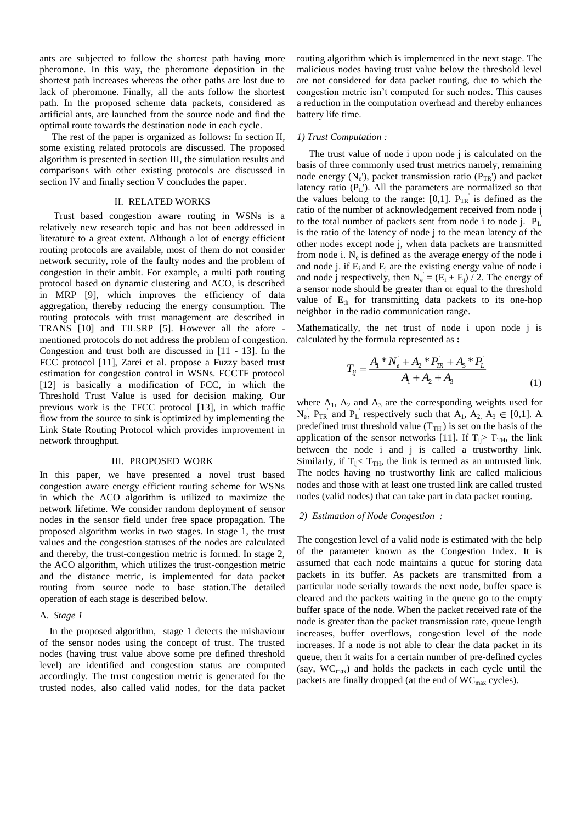ants are subjected to follow the shortest path having more pheromone. In this way, the pheromone deposition in the shortest path increases whereas the other paths are lost due to lack of pheromone. Finally, all the ants follow the shortest path. In the proposed scheme data packets, considered as artificial ants, are launched from the source node and find the optimal route towards the destination node in each cycle.

 The rest of the paper is organized as follows**:** In section II, some existing related protocols are discussed. The proposed algorithm is presented in section III, the simulation results and comparisons with other existing protocols are discussed in section IV and finally section V concludes the paper.

## II. RELATED WORKS

Trust based congestion aware routing in WSNs is a relatively new research topic and has not been addressed in literature to a great extent. Although a lot of energy efficient routing protocols are available, most of them do not consider network security, role of the faulty nodes and the problem of congestion in their ambit. For example, a multi path routing protocol based on dynamic clustering and ACO, is described in MRP [9], which improves the efficiency of data aggregation, thereby reducing the energy consumption. The routing protocols with trust management are described in TRANS [10] and TILSRP [5]. However all the afore mentioned protocols do not address the problem of congestion. Congestion and trust both are discussed in [11 - 13]. In the FCC protocol [11], Zarei et al. propose a Fuzzy based trust estimation for congestion control in WSNs. FCCTF protocol [12] is basically a modification of FCC, in which the Threshold Trust Value is used for decision making. Our previous work is the TFCC protocol [13], in which traffic flow from the source to sink is optimized by implementing the Link State Routing Protocol which provides improvement in network throughput.

### III. PROPOSED WORK

In this paper, we have presented a novel trust based congestion aware energy efficient routing scheme for WSNs in which the ACO algorithm is utilized to maximize the network lifetime. We consider random deployment of sensor nodes in the sensor field under free space propagation. The proposed algorithm works in two stages. In stage 1, the trust values and the congestion statuses of the nodes are calculated and thereby, the trust-congestion metric is formed. In stage 2, the ACO algorithm, which utilizes the trust-congestion metric and the distance metric, is implemented for data packet routing from source node to base station.The detailed operation of each stage is described below.

# A. *Stage 1*

 In the proposed algorithm, stage 1 detects the mishaviour of the sensor nodes using the concept of trust. The trusted nodes (having trust value above some pre defined threshold level) are identified and congestion status are computed accordingly. The trust congestion metric is generated for the trusted nodes, also called valid nodes, for the data packet

routing algorithm which is implemented in the next stage. The malicious nodes having trust value below the threshold level are not considered for data packet routing, due to which the congestion metric isn't computed for such nodes. This causes a reduction in the computation overhead and thereby enhances battery life time.

# *1) Trust Computation :*

 The trust value of node i upon node j is calculated on the basis of three commonly used trust metrics namely, remaining node energy  $(N_e)$ , packet transmission ratio  $(P_{TR})$  and packet latency ratio  $(P_L)$ . All the parameters are normalized so that the values belong to the range:  $[0,1]$ .  $P_{TR}$  is defined as the ratio of the number of acknowledgement received from node j to the total number of packets sent from node i to node j.  $P_L$ is the ratio of the latency of node j to the mean latency of the other nodes except node j, when data packets are transmitted from node i.  $N_e$  is defined as the average energy of the node i and node j. if  $E_i$  and  $E_j$  are the existing energy value of node i and node j respectively, then  $N_e = (E_i + E_j) / 2$ . The energy of a sensor node should be greater than or equal to the threshold value of  $E_{th}$  for transmitting data packets to its one-hop neighbor in the radio communication range.

Mathematically, the net trust of node i upon node j is calculated by the formula represented as **:**

$$
T_{ij} = \frac{A_1 * N_e + A_2 * P_{IR} + A_3 * P_L'}{A_1 + A_2 + A_3}
$$
(1)

where  $A_1$ ,  $A_2$  and  $A_3$  are the corresponding weights used for  $N_e$ ,  $P_{TR}$  and  $P_L$  respectively such that  $A_1$ ,  $A_2$ ,  $A_3 \in [0,1]$ . A predefined trust threshold value  $(T<sub>TH</sub>)$  is set on the basis of the application of the sensor networks [11]. If  $T_{ii}$  T<sub>TH</sub>, the link between the node i and j is called a trustworthy link. Similarly, if  $T_{ij}$   $T_{TH}$ , the link is termed as an untrusted link. The nodes having no trustworthy link are called malicious nodes and those with at least one trusted link are called trusted nodes (valid nodes) that can take part in data packet routing.

## *2) Estimation of Node Congestion :*

The congestion level of a valid node is estimated with the help of the parameter known as the Congestion Index. It is assumed that each node maintains a queue for storing data packets in its buffer. As packets are transmitted from a particular node serially towards the next node, buffer space is cleared and the packets waiting in the queue go to the empty buffer space of the node. When the packet received rate of the node is greater than the packet transmission rate, queue length increases, buffer overflows, congestion level of the node increases. If a node is not able to clear the data packet in its queue, then it waits for a certain number of pre-defined cycles (say,  $WC_{max}$ ) and holds the packets in each cycle until the packets are finally dropped (at the end of WC<sub>max</sub> cycles).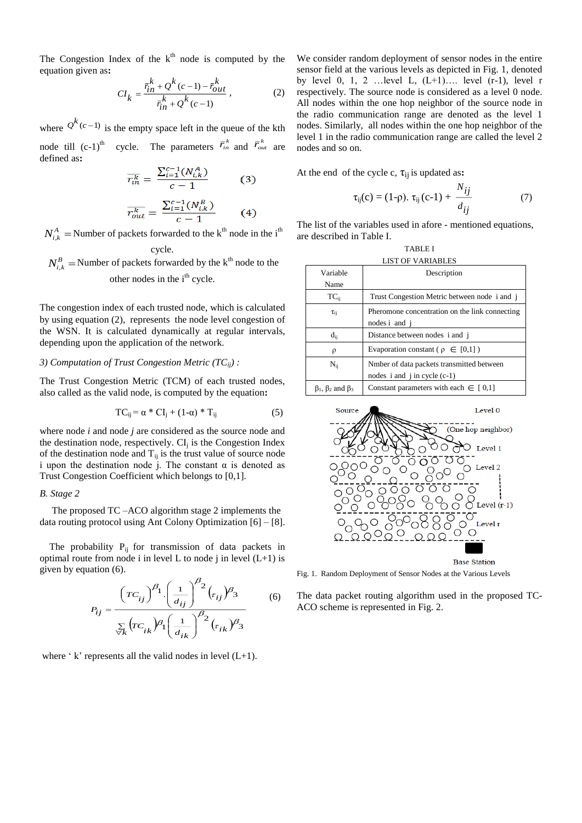The Congestion Index of the  $k<sup>th</sup>$  node is computed by the equation given as**:** 

$$
CI_{k} = \frac{\bar{r}_{in}^{k} + Q^{k}(c-1) - \bar{r}_{out}^{k}}{\bar{r}_{in}^{k} + Q^{k}(c-1)},
$$
\n(2)

where  $Q^{k}(c-1)$  is the empty space left in the queue of the kth node till  $(c-1)^{th}$  cycle. The parameters  $\overline{r}_{in}^{k}$  and  $\overline{r}_{out}^{k}$  are defined as**:**

$$
\overline{r_{in}^k} = \frac{\sum_{i=1}^{c-1} (N_{i,k}^A)}{c-1}
$$
 (3)

$$
\overline{r_{out}^k} = \frac{\sum_{i=1}^{c-1} (N_{i,k}^B)}{c-1}
$$
 (4)

 $N_{i,k}^A$  = Number of packets forwarded to the k<sup>th</sup> node in the i<sup>th</sup> cycle.

 $N_{i,k}^B$  = Number of packets forwarded by the k<sup>th</sup> node to the other nodes in the i<sup>th</sup> cycle.

The congestion index of each trusted node, which is calculated by using equation (2), represents the node level congestion of the WSN. It is calculated dynamically at regular intervals, depending upon the application of the network.

# *3) Computation of Trust Congestion Metric (TCij) :*

The Trust Congestion Metric (TCM) of each trusted nodes, also called as the valid node, is computed by the equation**:**

$$
TC_{ij} = \alpha * CI_j + (1-\alpha) * T_{ij}
$$
 (5)

where node *i* and node *j* are considered as the source node and the destination node, respectively.  $CI<sub>i</sub>$  is the Congestion Index of the destination node and  $T_{ij}$  is the trust value of source node i upon the destination node j. The constant  $\alpha$  is denoted as Trust Congestion Coefficient which belongs to [0,1].

# *B. Stage 2*

 The proposed TC –ACO algorithm stage 2 implements the data routing protocol using Ant Colony Optimization [6] – [8].

The probability  $P_{ij}$  for transmission of data packets in optimal route from node i in level L to node j in level  $(L+1)$  is given by equation (6).

$$
P_{ij} = \frac{\left(TC_{ij}\right)^{\beta_1} \left(\frac{1}{d_{ij}}\right)^{\beta_2} \left(\tau_{ij}\right)^{\beta_3}}{\sum\limits_{\forall k} \left(TC_{ik}\right)^{\beta_1} \left(\frac{1}{d_{ik}}\right)^{\beta_2} \left(\tau_{ik}\right)^{\beta_3}}
$$
(6)

where  $\hat{ }$  k' represents all the valid nodes in level (L+1).

We consider random deployment of sensor nodes in the entire sensor field at the various levels as depicted in Fig. 1, denoted by level 0, 1, 2 …level L,  $(L+1)$ …. level  $(r-1)$ , level r respectively. The source node is considered as a level 0 node. All nodes within the one hop neighbor of the source node in the radio communication range are denoted as the level 1 nodes. Similarly, all nodes within the one hop neighbor of the level 1 in the radio communication range are called the level 2 nodes and so on.

At the end of the cycle c,  $\tau_{ii}$  is updated as:

$$
\tau_{ij}(c) = (1-\rho). \ \tau_{ij}(c-1) + \frac{N_{ij}}{d_{ij}} \tag{7}
$$

The list of the variables used in afore - mentioned equations, are described in Table I.

| <b>TABLE I</b> |                    |  |  |  |  |  |  |
|----------------|--------------------|--|--|--|--|--|--|
|                | LICT OF VADIADI EC |  |  |  |  |  |  |

| LIƏ I UF VANIADLEƏ                  |                                                                                 |  |  |  |  |  |  |  |
|-------------------------------------|---------------------------------------------------------------------------------|--|--|--|--|--|--|--|
| Variable                            | Description                                                                     |  |  |  |  |  |  |  |
| Name                                |                                                                                 |  |  |  |  |  |  |  |
| $TC_{ii}$                           | Trust Congestion Metric between node i and j                                    |  |  |  |  |  |  |  |
| $\tau_{ii}$                         | Pheromone concentration on the link connecting<br>nodes i and i                 |  |  |  |  |  |  |  |
| $d_{ii}$                            | Distance between nodes i and i                                                  |  |  |  |  |  |  |  |
| ρ                                   | Evaporation constant ( $\rho \in [0,1]$ )                                       |  |  |  |  |  |  |  |
| $N_{ii}$                            | Nmber of data packets transmitted between<br>nodes $i$ and $j$ in cycle $(c-1)$ |  |  |  |  |  |  |  |
| $\beta_1$ , $\beta_2$ and $\beta_3$ | Constant parameters with each $\in$ [0,1]                                       |  |  |  |  |  |  |  |



Fig. 1. Random Deployment of Sensor Nodes at the Various Levels

The data packet routing algorithm used in the proposed TC-ACO scheme is represented in Fig. 2.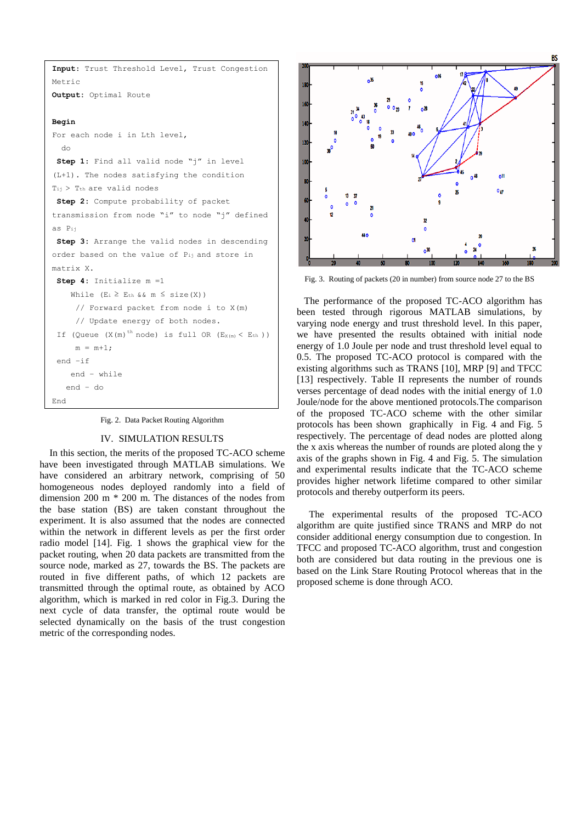```
Input: Trust Threshold Level, Trust Congestion 
Metric 
Output: Optimal Route 
Begin 
For each node i in Lth level, 
   do 
 Step 1: Find all valid node "j" in level 
(L+1). The nodes satisfying the condition 
Tij > Tth are valid nodes 
 Step 2: Compute probability of packet 
transmission from node "i" to node "j" defined 
as Pij 
 Step 3: Arrange the valid nodes in descending 
order based on the value of Pij and store in 
matrix X. 
 Step 4: Initialize m =1 
    While (E_i \ge E_{th} \& \& m \le Size(X)) // Forward packet from node i to X(m) 
      // Update energy of both nodes. 
 If (Queue (X(m)<sup>th</sup> node) is full OR (E_{X(m)} < E_{th}))
     m = m+1;end –if 
     end – while 
    end – do
End
```
Fig. 2. Data Packet Routing Algorithm

# IV. SIMULATION RESULTS

In this section, the merits of the proposed TC-ACO scheme have been investigated through MATLAB simulations. We have considered an arbitrary network, comprising of 50 homogeneous nodes deployed randomly into a field of dimension 200 m \* 200 m. The distances of the nodes from the base station (BS) are taken constant throughout the experiment. It is also assumed that the nodes are connected within the network in different levels as per the first order radio model [14]. Fig. 1 shows the graphical view for the packet routing, when 20 data packets are transmitted from the source node, marked as 27, towards the BS. The packets are routed in five different paths, of which 12 packets are transmitted through the optimal route, as obtained by ACO algorithm, which is marked in red color in Fig.3. During the next cycle of data transfer, the optimal route would be selected dynamically on the basis of the trust congestion metric of the corresponding nodes.



Fig. 3. Routing of packets (20 in number) from source node 27 to the BS

 The performance of the proposed TC-ACO algorithm has been tested through rigorous MATLAB simulations, by varying node energy and trust threshold level. In this paper, we have presented the results obtained with initial node energy of 1.0 Joule per node and trust threshold level equal to 0.5. The proposed TC-ACO protocol is compared with the existing algorithms such as TRANS [10], MRP [9] and TFCC [13] respectively. Table II represents the number of rounds verses percentage of dead nodes with the initial energy of 1.0 Joule/node for the above mentioned protocols.The comparison of the proposed TC-ACO scheme with the other similar protocols has been shown graphically in Fig. 4 and Fig. 5 respectively. The percentage of dead nodes are plotted along the x axis whereas the number of rounds are ploted along the y axis of the graphs shown in Fig. 4 and Fig. 5. The simulation and experimental results indicate that the TC-ACO scheme provides higher network lifetime compared to other similar protocols and thereby outperform its peers.

 The experimental results of the proposed TC-ACO algorithm are quite justified since TRANS and MRP do not consider additional energy consumption due to congestion. In TFCC and proposed TC-ACO algorithm, trust and congestion both are considered but data routing in the previous one is based on the Link Stare Routing Protocol whereas that in the proposed scheme is done through ACO.